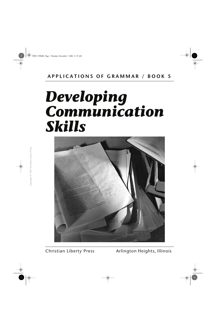# *Developing Communication Skills*



Christian Liberty Press Arlington Heights, Illinois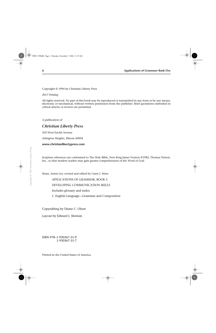Copyright © 1994 by Christian Liberty Press

*2017 Printing*

All rights reserved. No part of this book may be reproduced or transmitted in any form or by any means, electronic or mechanical, without written permission from the publisher. Brief quotations embodied in critical articles or reviews are permitted.

A publication of

#### *Christian Liberty Press*

502 West Euclid Avenue

Arlington Heights, Illinois 60004

**www.christianlibertypress.com**

Scripture references are conformed to The Holy Bible, New King James Version ©1982, Thomas Nelson, Inc., so that modern readers may gain greater comprehension of the Word of God.

Sloan, Annie Lee, revised and edited by Garry J. Moes

APPLICATIONS OF GRAMMAR, BOOK 5

DEVELOPING COMMUNICATION SKILLS

Includes glossary and index

1. English Language—Grammar and Composition

Copyediting by Diane C. Olson

Layout by Edward J. Shewan

ISBN 978–1-930367-31-9 1-930367-31-7

Printed in the United States of America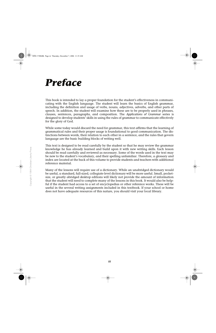## *Preface*

This book is intended to lay a proper foundation for the student's effectiveness in communicating with the English language. The student will learn the basics of English grammar, including the definition and usage of verbs, nouns, adjectives, adverbs, and other parts of speech. In addition, the student will examine how these are to be properly used in phrases, clauses, sentences, paragraphs, and composition. The *Applications of Grammar* series is designed to develop students' skills in using the rules of grammar to communicate effectively for the glory of God.

While some today would discard the need for grammar, this text affirms that the learning of grammatical rules and their proper usage is foundational to good communication. The distinctions between words, their relation to each other in a sentence, and the rules that govern language are the basic building blocks of writing well.

This text is designed to be read carefully by the student so that he may review the grammar knowledge he has already learned and build upon it with new writing skills. Each lesson should be read carefully and reviewed as necessary. Some of the words used in the text may be new to the student's vocabulary, and their spelling unfamiliar. Therefore, a glossary and index are located at the back of this volume to provide students and teachers with additional reference material.

Many of the lessons will require use of a dictionary. While an unabridged dictionary would be useful, a standard, full-sized, collegiate-level dictionary will be more useful. Small, pocketsize, or greatly abridged desktop editions will likely not provide the amount of information that the student will need to complete many of the lessons in this book. It would also be helpful if the student had access to a set of encyclopedias or other reference works. These will be useful in the several writing assignments included in this textbook. If your school or home does not have adequate resources of this nature, you should visit your local library.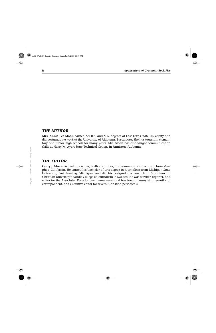#### *THE AUTHOR*

**Mrs. Annie Lee Sloan** earned her B.S. and M.S. degrees at East Texas State University and did postgraduate work at the University of Alabama, Tuscaloosa. She has taught in elementary and junior high schools for many years. Mrs. Sloan has also taught communication skills at Harry M. Ayers State Technical College in Anniston, Alabama.

#### *THE EDITOR*

**Garry J. Moes** is a freelance writer, textbook author, and communications consult from Murphys, California. He earned his bachelor of arts degree in journalism from Michigan State University, East Lansing, Michigan, and did his postgraduate research at Scandinavian Christian University's Nordic College of Journalism in Sweden. He was a writer, reporter, and editor for the Associated Press for twenty-one years and has been an essayist, international correspondent, and executive editor for several Christian periodicals.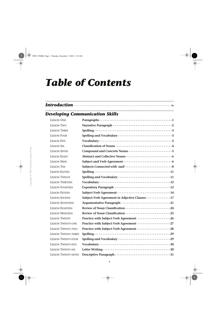## *Table of Contents*

|--|--|--|

## *Developing Communication Skills*

| <b>LESSON ONE</b>          |                                                                            |  |
|----------------------------|----------------------------------------------------------------------------|--|
| <b>LESSON TWO</b>          |                                                                            |  |
| <b>LESSON THREE</b>        |                                                                            |  |
| <b>LESSON FOUR</b>         | Spelling and Vocabulary -------------------------------3                   |  |
| <b>LESSON FIVE</b>         |                                                                            |  |
| <b>LESSON SIX</b>          | Classification of Nouns -------------------------------4                   |  |
| <b>LESSON SEVEN</b>        |                                                                            |  |
| <b>LESSON EIGHT</b>        | Abstract and Collective Nouns-----------------------------6                |  |
| <b>LESSON NINE</b>         |                                                                            |  |
| <b>LESSON TEN</b>          |                                                                            |  |
| <b>LESSON ELEVEN</b>       |                                                                            |  |
| <b>LESSON TWELVE</b>       | Spelling and Vocabulary -------------------------------11                  |  |
| <b>LESSON THIRTEEN</b>     |                                                                            |  |
| <b>LESSON FOURTEEN</b>     | Expository Paragraph -------------------------------12                     |  |
| <b>LESSON FIFTEEN</b>      | Subject-Verb Agreement------------------------------14                     |  |
| <b>LESSON SIXTEEN</b>      | Subject-Verb Agreement in Adjective Clauses - - - - - - - - - - - - - - 17 |  |
| <b>LESSON SEVENTEEN</b>    | Argumentative Paragraph---------------------------21                       |  |
| <b>LESSON EIGHTEEN</b>     |                                                                            |  |
| <b>LESSON NINETEEN</b>     |                                                                            |  |
| <b>LESSON TWENTY</b>       | Practice with Subject-Verb Agreement -------------------26                 |  |
| <b>LESSON TWENTY-ONE</b>   | Practice with Subject-Verb Agreement ------------------27                  |  |
| <b>LESSON TWENTY-TWO</b>   | Practice with Subject-Verb Agreement ------------------28                  |  |
| <b>LESSON TWENTY-THREE</b> |                                                                            |  |
| <b>LESSON TWENTY-FOUR</b>  | Spelling and Vocabulary ------------------------------29                   |  |
| <b>LESSON TWENTY-FIVE</b>  |                                                                            |  |
| <b>LESSON TWENTY-SIX</b>   |                                                                            |  |
| <b>LESSON TWENTY-SEVEN</b> |                                                                            |  |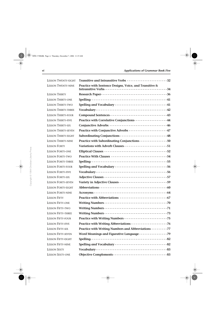<u> 1980 - Antonio Alemania, presidente del contento del contento del contento del contento del contento del con</u>

 $\overline{\phantom{0}}$ 

| <b>LESSON TWENTY-EIGHT</b> | Transitive and Intransitive Verbs -----------------------32                 |  |
|----------------------------|-----------------------------------------------------------------------------|--|
| <b>LESSON TWENTY-NINE</b>  | Practice with Sentence Designs, Voice, and Transitive &                     |  |
| <b>LESSON THIRTY</b>       |                                                                             |  |
| <b>LESSON THIRTY-ONE</b>   |                                                                             |  |
| <b>LESSON THIRTY-TWO</b>   |                                                                             |  |
| <b>LESSON THIRTY-THREE</b> |                                                                             |  |
| <b>LESSON THIRTY-FOUR</b>  | Compound Sentences--------------------------------43                        |  |
| <b>LESSON THIRTY-FIVE</b>  | Practice with Correlative Conjunctions------------------44                  |  |
| <b>LESSON THIRTY-SIX</b>   | Conjunctive Adverbs --------------------------------46                      |  |
| <b>LESSON THIRTY-SEVEN</b> |                                                                             |  |
| <b>LESSON THIRTY-EIGHT</b> |                                                                             |  |
| <b>LESSON THIRTY-NINE</b>  | Practice with Subordinating Conjunctions - - - - - - - - - - - - - - - - 50 |  |
| <b>LESSON FORTY</b>        |                                                                             |  |
| <b>LESSON FORTY-ONE</b>    |                                                                             |  |
| <b>LESSON FORTY-TWO</b>    | Practice With Clauses --------------------------------54                    |  |
| <b>LESSON FORTY-THREE</b>  |                                                                             |  |
| <b>LESSON FORTY-FOUR</b>   |                                                                             |  |
| <b>LESSON FORTY-FIVE</b>   |                                                                             |  |
| <b>LESSON FORTY-SIX</b>    |                                                                             |  |
| <b>LESSON FORTY-SEVEN</b>  | Variety in Adjective Clauses----------------------------59                  |  |
| <b>LESSON FORTY-EIGHT</b>  |                                                                             |  |
| <b>LESSON FORTY-NINE</b>   |                                                                             |  |
| <b>LESSON FIFTY</b>        |                                                                             |  |
| <b>LESSON FIFTY-ONE</b>    |                                                                             |  |
| <b>LESSON FIFTY-TWO</b>    |                                                                             |  |
| <b>LESSON FIFTY-THREE</b>  |                                                                             |  |
| <b>LESSON FIFTY-FOUR</b>   | Practice with Writing Numbers--------------------------75                   |  |
| <b>LESSON FIFTY-FIVE</b>   |                                                                             |  |
| <b>LESSON FIFTY-SIX</b>    | Practice with Writing Numbers and Abbreviations - - - - - - - - - 77        |  |
| <b>LESSON FIFTY-SEVEN</b>  | Word Meanings and Figurative Language - - - - - - - - - - - - - - - - 79    |  |
| <b>LESSON FIFTY-EIGHT</b>  |                                                                             |  |
| <b>LESSON FIFTY-NINE</b>   |                                                                             |  |
| <b>LESSON SIXTY</b>        |                                                                             |  |
| <b>LESSON SIXTY-ONE</b>    |                                                                             |  |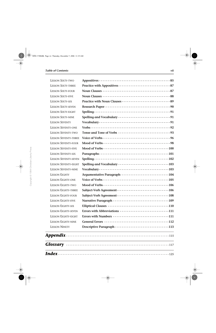$\overline{\phantom{a}}$ 

| <b>LESSON SIXTY-TWO</b>     |                                                            |
|-----------------------------|------------------------------------------------------------|
| <b>LESSON SIXTY-THREE</b>   |                                                            |
| <b>LESSON SIXTY-FOUR</b>    |                                                            |
| <b>LESSON SIXTY-FIVE</b>    |                                                            |
| <b>LESSON SIXTY-SIX</b>     |                                                            |
| <b>LESSON SIXTY-SEVEN</b>   |                                                            |
| <b>LESSON SIXTY-EIGHT</b>   |                                                            |
| <b>LESSON SIXTY-NINE</b>    | Spelling and Vocabulary --------------------------------91 |
| <b>LESSON SEVENTY</b>       |                                                            |
| <b>LESSON SEVENTY-ONE</b>   |                                                            |
| <b>LESSON SEVENTY-TWO</b>   | Tense and Tone of Verbs --------------------------------93 |
| <b>LESSON SEVENTY-THREE</b> |                                                            |
| <b>LESSON SEVENTY-FOUR</b>  |                                                            |
| <b>LESSON SEVENTY-FIVE</b>  |                                                            |
| <b>LESSON SEVENTY-SIX</b>   |                                                            |
| <b>LESSON SEVENTY-SEVEN</b> |                                                            |
| <b>LESSON SEVENTY-EIGHT</b> | Spelling and Vocabulary -----------------------------103   |
| <b>LESSON SEVENTY-NINE</b>  |                                                            |
| <b>LESSON EIGHTY</b>        | Argumentative Paragraph ---------------------------104     |
| <b>LESSON EIGHTY-ONE</b>    |                                                            |
| <b>LESSON EIGHTY-TWO</b>    |                                                            |
| <b>LESSON EIGHTY-THREE</b>  | Subject-Verb Agreement-----------------------------106     |
| <b>LESSON EIGHTY-FOUR</b>   | Subject-Verb Agreement-----------------------------108     |
| Lesson Eighty-five          |                                                            |
| <b>LESSON EIGHTY-SIX</b>    |                                                            |
| <b>LESSON EIGHTY-SEVEN</b>  | Errors with Abbreviations -----------------------------111 |
| <b>LESSON EIGHTY-EIGHT</b>  | Errors with Numbers ---------------------------------111   |
| <b>LESSON EIGHTY-NINE</b>   |                                                            |
| <b>LESSON NINETY</b>        |                                                            |
|                             |                                                            |
|                             |                                                            |
|                             |                                                            |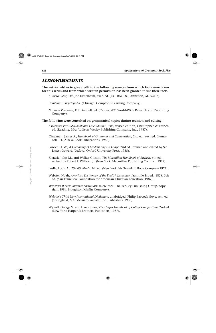#### *ACKNOWLEDGMENTS*

**The author wishes to give credit to the following sources from which facts were taken for this series and from which written permission has been granted to use these facts.**

*Anniston Star*, *The*, Joe Distelheim, exec. ed. (P.O. Box 189, Anniston, AL 36202).

*Compton's Encyclopedia*. (Chicago: Compton's Learning Company).

*National Parkways*, E.R. Randell, ed. (Casper, WY: World-Wide Research and Publishing Company).

#### **The following were consulted on grammatical topics during revision and editing:**

- *Associated Press Stylebook and Libel Manual*, *The*, revised edition, Christopher W. French, ed. (Reading, MA: Addison-Wesley Publishing Company, Inc., 1987).
- Chapman, James A., *Handbook of Grammar and Composition*, 2nd ed., revised. (Pensacola, FL: A Beka Book Publications, 1985).
- Fowler, H. W., *A Dictionary of Modern English Usage*, 2nd ed., revised and edited by Sir Ernest Gowers. (Oxford: Oxford University Press, 1985).
- Kierzek, John M., and Walker Gibson, *The Macmillan Handbook of English*, 6th ed., revised by Robert F. Willson, Jr. (New York: Macmillan Publishing Co., Inc., 1977).

Leslie, Louis A., *20,000 Words*, 7th ed. (New York: McGraw-Hill Book Company,1977).

- Webster, Noah, *American Dictionary of the English Language*, facsimile 1st ed., 1828, 5th ed. (San Francisco: Foundation for American Christian Education, 1987).
- *Webster's II New Riverside Dictionary*. (New York: The Berkley Publishing Group, copyright 1984, Houghton Mifflin Company).
- *Webster's Third New International Dictionary*, unabridged, Philip Babcock Gove, sen. ed. (Springfield, MA: Merriam-Webster Inc., Publishers, 1986).
- Wykoff, George S., and Harry Shaw, *The Harper Handbook of College Composition*, 2nd ed. (New York: Harper & Brothers, Publishers, 1957).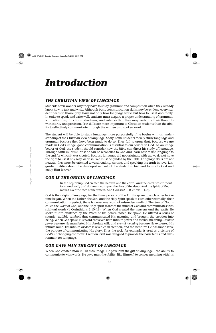## *Introduction*

## *THE CHRISTIAN VIEW OF LANGUAGE*

Students often wonder why they have to study grammar and composition when they already know how to talk and write. Although basic communication skills may be evident, every student needs to thoroughly learn not only how language works but how to use it accurately. In order to speak and write well, students must acquire a proper understanding of grammatical definitions, functions, structures, and rules so that they may verbalize their thoughts with clarity and precision. Few skills are more important to Christian students than the ability to effectively communicate through the written and spoken word.

The student will be able to study language more purposefully if he begins with an understanding of the Christian view of language. Sadly, some students merely study language and grammar because they have been made to do so. They fail to grasp that, because we are made in God's image, good communication is essential to our service to God. As an image bearer of God, the student should consider how the Bible can direct his study of language. Through faith in Jesus Christ he can be reconciled to God and learn how to use language to the end for which it was created. Because language did not originate with us, we do not have the right to use it any way we wish. We must be guided by the Bible. Language skills are not neutral; they must be oriented toward reading, writing, and speaking the truth in love. Linguistic abilities should be developed as part of the student's chief end to glorify God and enjoy Him forever.

### *GOD IS THE ORIGIN OF LANGUAGE*

In the beginning God created the heaven and the earth. And the earth was without form and void; and darkness was upon the face of the deep. And the Spirit of God moved over the face of the waters. And God *said* … (Genesis 1:1–3).

God is the origin of language, for the three persons of the Trinity spoke to each other before time began. When the Father, the Son, and the Holy Spirit speak to each other eternally, their communication is perfect; there is never one word of misunderstanding! The Son of God is called the *Word* of God, and the Holy Spirit searches the mind of God and communicates with spiritual words (1 Corinthians 2:10–13). When God created the heavens and the earth, He spoke it into existence by the Word of His power. When He spoke, He uttered a series of sounds—audible symbols that communicated His meaning and brought the creation into being. When God spoke, His Word conveyed both infinite power and eternal meaning—*infinite power* because He manifested His absolute will, and *eternal meaning* because He expressed His infinite mind. His infinite wisdom is revealed in creation, and the creatures He has made serve the purpose of communicating His glory. Thus the rock, for example, is used as a picture of God's unchanging character. Creation itself was designed to provide the basic terms and environment for language.

## *GOD GAVE MAN THE GIFT OF LANGUAGE*

When God created man in His own image, He gave him the gift of language—the ability to communicate with words. He gave man the ability, like Himself, to convey meaning with his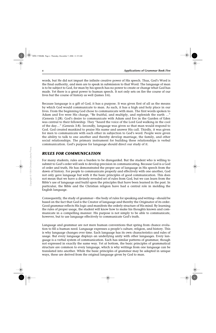words, but He did not impart the infinite creative power of His speech. Thus, God's Word is the final authority, and men are to speak in submission to that Word. The language of man is to be subject to God, for man by his speech has no power to create or change what God has made. Yet there is a great power to human speech. It not only sets on fire the course of our lives but the course of history as well (James 3:6).

Because language is a gift of God, it has a purpose. It was given first of all as the means by which God would communicate to man. As such, it has a high and holy place in our lives. From the beginning God chose to communicate with man. The first words spoken to Adam and Eve were His charge, "Be fruitful, and multiply, and replenish the earth …" (Genesis 1:28). God's desire to communicate with Adam and Eve in the Garden of Eden was central to their fellowship. They "heard the voice of the Lord God walking in the cool of the day…" (Genesis 3:8). Secondly, language was given so that man would respond to God. God created mankind to praise His name and answer His call. Thirdly, it was given for men to communicate with each other in subjection to God's word. People were given the ability to talk to one another and thereby develop marriage, the family, and other social relationships. The primary instrument for building these relationships is verbal communication. God's purpose for language should direct our study of it.

#### *RULES FOR COMMUNICATION*

For many students, rules are a burden to be disregarded. But the student who is willing to submit to God's order will seek to develop precision in communicating. Because God is a God of order and truth, He has demonstrated the proper use of language in His speech from the dawn of history. For people to communicate properly and effectively with one another, God not only gave language but with it the basic principles of good communication. This does not mean that we have a divinely revealed set of rules from God, but we can learn from the Bible's use of language and build upon the principles that have been learned in the past. In particular, the Bible and the Christian religion have had a central role in molding the English language.

Consequently, the study of grammar—the body of rules for speaking and writing—should be based on the fact that God is the Creator of language and thereby the Originator of its order. Good grammar reflects His logic and manifests the orderly structure of His mind. By learning the rules of proper usage, the student will know how to make his thoughts known and communicate in a compelling manner. His purpose is not simply to be able to communicate, however, but to use language effectively to communicate God's truth.

Language and grammar are not mere human conventions that spring from chance evolution to fill a human need. Language expresses a people's culture, religion, and history. This is why language changes over time. Each language has its own characteristics and rules of usage. But every language displays an underlying unity with other languages. Every language is a verbal system of communication. Each has similar patterns of grammar, though not expressed in exactly the same way. Yet at bottom, the basic principles of grammatical structure are common to every language, which is why writings from one language can be translated into another. While the basic principles of grammar may be adapted in unique ways, these are derived from the original language given by God to man.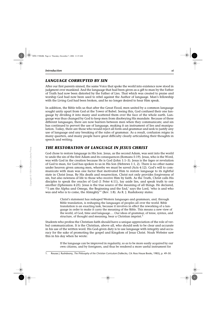### *LANGUAGE CORRUPTED BY SIN*

After our first parents sinned, the same Voice that spoke the world into existence now stood in judgment over mankind. And the language that had been given as a gift to man by the Father of Truth had now been distorted by the Father of Lies. That which was created to praise and worship God had now been used to rebel against the Author of language. Man's fellowship with the Living God had been broken, and he no longer desired to hear Him speak.

In addition, the Bible tells us that after the Great Flood, men united by a common language sought unity apart from God at the Tower of Babel. Seeing this, God confused their one language by dividing it into many and scattered them over the face of the whole earth. Language was thus changed by God to keep men from disobeying His mandate. Because of these different languages, there are now barriers between men when they communicate; and sin has continued to pervert the use of language, making it an instrument of lies and manipulation. Today, there are those who would reject all form and grammar and seek to justify any use of language and any breaking of the rules of grammar. As a result, confusion reigns in many quarters, and many people have great difficulty clearly articulating their thoughts in speech and writing.

## *THE RESTORATION OF LANGUAGE IN JESUS CHRIST*

God chose to restore language in His Son. Jesus, as the second Adam, was sent into the world to undo the sin of the first Adam and its consequences (Romans 5:19). Jesus, who is the Word, was with God in the creation because He is God (John 1:1–3). Jesus is the *logos* or revelation of God to man, for God has spoken to us in His Son (Hebrews 1:1, 2). There is no other name under heaven given among men, whereby we must be saved (Acts 4:12). God's will to communicate with man was one factor that motivated Him to restore language to its rightful state in Christ Jesus. By His death and resurrection, Christ not only provides forgiveness of sin, but also newness of life to those who receive Him by faith. As the Truth, Christ calls His disciples to speak the oracles of God (1 Peter 4:11), lay aside lies, and speak truth to one another (Ephesians 4:25). Jesus is the true source of the meaning of all things. He declared, "'I am the Alpha and Omega, the Beginning and the End,' says the Lord, 'who is and who was and who is to come, the Almighty'" (Rev. 1:8). As R. J. Rushdoony states:

> Christ's statement has reshaped Western languages and grammars, and, through Bible translation, is reshaping the languages of peoples all over the world. Bible translation is an exacting task, because it involves in effect the reworking of a language in order to make it carry the meaning of the Bible. This means a new view of the world, of God, time and language.… Our ideas of grammar, of tense, syntax, and structure, of thought and meaning, bear a Christian imprint.<sup>1</sup>

Students who profess the Christian faith should have a unique appreciation of the role of verbal communication. It is the Christian, above all, who should seek to be clear and accurate in his use of the written word. His God-given duty is to use language with integrity and accuracy for the sake of promoting the gospel and Kingdom of Jesus Christ. Noah Webster saw this in his day when he wrote:

> If the language can be improved in regularity, so as to be more easily acquired by our own citizens, and by foreigners, and thus be rendered a more useful instrument for

<sup>1.</sup> Rousas J. Rushdoony, *The Philosophy of the Christian Curriculum* (Vallecito, CA: Ross House Books, 1985), p. 49–50.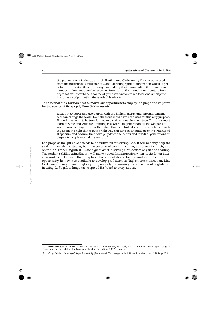the propagation of science, arts, civilization and Christianity; if it can be rescued from the mischievous influence of …that dabbling spirit of innovation which is perpetually disturbing its settled usages and filling it with anomalies; if, in short, our vernacular language can be redeemed from corruptions, and…our literature from degradation; it would be a source of great satisfaction to me to be one among the instruments of promoting these valuable objects. $<sup>2</sup>$ </sup>

To show that the Christian has the marvelous opportunity to employ language and its power for the service of the gospel, Gary DeMar asserts:

> Ideas put to paper and acted upon with the highest energy and uncompromising zeal can change the world. Even the worst ideas have been used for this very purpose. If minds are going to be transformed and civilizations changed, then Christians must learn to write and write well. Writing is a sword, mightier than all the weapons of war because writing carries with it ideas that penetrate deeper than any bullet. Writing about the right things in the right way can serve as an antidote to the writings of skepticism and tyranny that have plundered the hearts and minds of generations of desperate people around the world....<sup>3</sup>

Language as the gift of God needs to be cultivated for serving God. It will not only help the student in academic studies, but in every area of communication, at home, at church, and on the job. Proper English skills are a great asset in serving Christ effectively in one's calling. The student's skill in using English will make a good first impression when he sits for an interview and as he labors in the workplace. The student should take advantage of the time and opportunity he now has available to develop proficiency in English communication. May God bless you as you seek to glorify Him, not only by learning the proper use of English, but in using God's gift of language to spread His Word to every nation.

<sup>2.</sup> Noah Webster, *An American Dictionary of the English Language* (New York, NY: S. Converse, 1828); reprint by (San Francisco, CA: Foundation for American Christian Education, 1987), preface.

<sup>3.</sup> Gary DeMar, *Surviving College Successfully* (Brentwood, TN: Wolgemuth & Hyatt Publishers, Inc., 1988), p.225.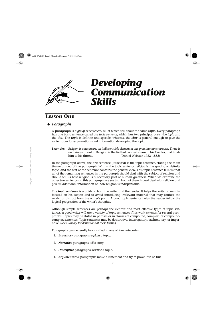

## *Developing Communication Skills*

## **Lesson One**

## - *Paragraphs*

A **paragraph** is *a group of sentences*, all of which tell about the same *topic*. Every paragraph has one basic sentence called the *topic sentence*, which has two principal parts: the *topic* and the *clew*. The *topic* is definite and specific; whereas, the *clew* is general enough to give the writer room for explanations and information developing the topic.

**Example:** *Religion is a necessary, an indispensable element in any great human character*. There is no living without it. Religion is the tie that connects man to his Creator, and holds him to his throne. (Daniel Webster, 1782–1852)

In the paragraph above, the first sentence (italicized) is the topic sentence, stating the main theme or idea of the paragraph. Within the topic sentence *religion* is the specific or definite topic, and the rest of the sentence contains the general clew. This topic sentence tells us that all of the remaining sentences in the paragraph should deal with the subject of religion and should tell us how religion is a necessary part of human greatness. When we examine the other two sentences in this paragraph, we see that both of them indeed deal with religion and give us additional information on how religion is indispensable.

The *topic sentence* is a guide to both the writer and the reader. It helps the writer to remain focused on his subject and to avoid introducing irrelevant material that may confuse the reader or distract from the writer's point. A good topic sentence helps the reader follow the logical progression of the writer's thoughts.

Although simple sentences are perhaps the clearest and most effective types of topic sentences, a good writer will use a variety of topic sentences if his work extends for several paragraphs. Topics may be stated in phrases or in clauses of compound, complex, or compoundcomplex sentences. Topic sentences may be declarative, interrogatory, exclamatory, or imperative. (*See Glossary for definitions of these terms*.)

Paragraphs can generally be classified in one of four categories:

- 1. *Expository* paragraphs *explain* a topic.
- 2. *Narrative* paragraphs *tell* a story.
- 3. *Descriptive* paragraphs *describe* a topic.
- 4. *Argumentative* paragraphs make a statement and try to prove it to be true.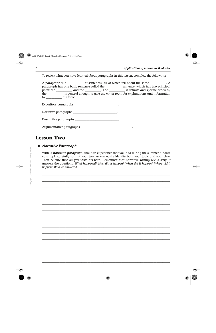To review what you have learned about paragraphs in this lesson, complete the following:

A paragraph is a \_\_\_\_\_\_\_\_\_\_\_\_ of sentences, all of which tell about the same \_\_\_\_\_\_\_\_\_\_. A paragraph has one basic sentence called the \_\_\_\_\_\_\_\_\_\_\_ sentence, which has two principal parts: the \_\_\_\_\_\_\_\_\_\_\_ and the \_\_\_\_\_\_\_\_\_\_. The \_\_\_\_\_\_\_\_\_\_\_\_ is definite and specific; whereas, the setting is general enough to give the writer room for explanations and information to the topic.

Expository paragraphs \_\_\_\_\_\_\_\_\_\_\_\_\_\_\_\_\_\_\_\_\_\_\_\_\_\_\_\_\_.

Narrative paragraphs \_\_\_\_\_\_\_\_\_\_\_\_\_\_\_\_\_\_\_\_\_\_\_\_\_\_\_\_\_.

| Descriptive paragraphs |  |
|------------------------|--|
|                        |  |

| Argumentative paragraphs |  |  |
|--------------------------|--|--|
|                          |  |  |
|                          |  |  |

## **Lesson Two**

### - *Narrative Paragraph*

Write a *narrative paragraph* about an experience that you had during the summer. Choose your topic carefully so that your teacher can easily identify both your topic and your clew. Then be sure that all you write fits both. Remember that narrative writing *tells a story*. It answers the questions: *What happened? How did it happen? When did it happen? Where did it happen? Who was involved?*

\_\_\_\_\_\_\_\_\_\_\_\_\_\_\_\_\_\_\_\_\_\_\_\_\_\_\_\_\_\_\_\_\_\_\_\_\_\_\_\_\_\_\_\_\_\_\_\_\_\_\_\_\_\_\_\_\_\_\_\_\_\_\_\_\_\_\_\_\_\_\_\_\_\_\_\_\_\_\_\_\_\_\_\_\_\_\_

\_\_\_\_\_\_\_\_\_\_\_\_\_\_\_\_\_\_\_\_\_\_\_\_\_\_\_\_\_\_\_\_\_\_\_\_\_\_\_\_\_\_\_\_\_\_\_\_\_\_\_\_\_\_\_\_\_\_\_\_\_\_\_\_\_\_\_\_\_\_\_\_\_\_\_\_\_\_\_\_\_\_\_\_\_\_\_

\_\_\_\_\_\_\_\_\_\_\_\_\_\_\_\_\_\_\_\_\_\_\_\_\_\_\_\_\_\_\_\_\_\_\_\_\_\_\_\_\_\_\_\_\_\_\_\_\_\_\_\_\_\_\_\_\_\_\_\_\_\_\_\_\_\_\_\_\_\_\_\_\_\_\_\_\_\_\_\_\_\_\_\_\_\_\_

\_\_\_\_\_\_\_\_\_\_\_\_\_\_\_\_\_\_\_\_\_\_\_\_\_\_\_\_\_\_\_\_\_\_\_\_\_\_\_\_\_\_\_\_\_\_\_\_\_\_\_\_\_\_\_\_\_\_\_\_\_\_\_\_\_\_\_\_\_\_\_\_\_\_\_\_\_\_\_\_\_\_\_\_\_\_\_

\_\_\_\_\_\_\_\_\_\_\_\_\_\_\_\_\_\_\_\_\_\_\_\_\_\_\_\_\_\_\_\_\_\_\_\_\_\_\_\_\_\_\_\_\_\_\_\_\_\_\_\_\_\_\_\_\_\_\_\_\_\_\_\_\_\_\_\_\_\_\_\_\_\_\_\_\_\_\_\_\_\_\_\_\_\_\_

\_\_\_\_\_\_\_\_\_\_\_\_\_\_\_\_\_\_\_\_\_\_\_\_\_\_\_\_\_\_\_\_\_\_\_\_\_\_\_\_\_\_\_\_\_\_\_\_\_\_\_\_\_\_\_\_\_\_\_\_\_\_\_\_\_\_\_\_\_\_\_\_\_\_\_\_\_\_\_\_\_\_\_\_\_\_\_

\_\_\_\_\_\_\_\_\_\_\_\_\_\_\_\_\_\_\_\_\_\_\_\_\_\_\_\_\_\_\_\_\_\_\_\_\_\_\_\_\_\_\_\_\_\_\_\_\_\_\_\_\_\_\_\_\_\_\_\_\_\_\_\_\_\_\_\_\_\_\_\_\_\_\_\_\_\_\_\_\_\_\_\_\_\_\_

\_\_\_\_\_\_\_\_\_\_\_\_\_\_\_\_\_\_\_\_\_\_\_\_\_\_\_\_\_\_\_\_\_\_\_\_\_\_\_\_\_\_\_\_\_\_\_\_\_\_\_\_\_\_\_\_\_\_\_\_\_\_\_\_\_\_\_\_\_\_\_\_\_\_\_\_\_\_\_\_\_\_\_\_\_\_\_

\_\_\_\_\_\_\_\_\_\_\_\_\_\_\_\_\_\_\_\_\_\_\_\_\_\_\_\_\_\_\_\_\_\_\_\_\_\_\_\_\_\_\_\_\_\_\_\_\_\_\_\_\_\_\_\_\_\_\_\_\_\_\_\_\_\_\_\_\_\_\_\_\_\_\_\_\_\_\_\_\_\_\_\_\_\_\_

\_\_\_\_\_\_\_\_\_\_\_\_\_\_\_\_\_\_\_\_\_\_\_\_\_\_\_\_\_\_\_\_\_\_\_\_\_\_\_\_\_\_\_\_\_\_\_\_\_\_\_\_\_\_\_\_\_\_\_\_\_\_\_\_\_\_\_\_\_\_\_\_\_\_\_\_\_\_\_\_\_\_\_\_\_\_\_

\_\_\_\_\_\_\_\_\_\_\_\_\_\_\_\_\_\_\_\_\_\_\_\_\_\_\_\_\_\_\_\_\_\_\_\_\_\_\_\_\_\_\_\_\_\_\_\_\_\_\_\_\_\_\_\_\_\_\_\_\_\_\_\_\_\_\_\_\_\_\_\_\_\_\_\_\_\_\_\_\_\_\_\_\_\_\_

\_\_\_\_\_\_\_\_\_\_\_\_\_\_\_\_\_\_\_\_\_\_\_\_\_\_\_\_\_\_\_\_\_\_\_\_\_\_\_\_\_\_\_\_\_\_\_\_\_\_\_\_\_\_\_\_\_\_\_\_\_\_\_\_\_\_\_\_\_\_\_\_\_\_\_\_\_\_\_\_\_\_\_\_\_\_\_

\_\_\_\_\_\_\_\_\_\_\_\_\_\_\_\_\_\_\_\_\_\_\_\_\_\_\_\_\_\_\_\_\_\_\_\_\_\_\_\_\_\_\_\_\_\_\_\_\_\_\_\_\_\_\_\_\_\_\_\_\_\_\_\_\_\_\_\_\_\_\_\_\_\_\_\_\_\_\_\_\_\_\_\_\_\_\_

\_\_\_\_\_\_\_\_\_\_\_\_\_\_\_\_\_\_\_\_\_\_\_\_\_\_\_\_\_\_\_\_\_\_\_\_\_\_\_\_\_\_\_\_\_\_\_\_\_\_\_\_\_\_\_\_\_\_\_\_\_\_\_\_\_\_\_\_\_\_\_\_\_\_\_\_\_\_\_\_\_\_\_\_\_\_\_

\_\_\_\_\_\_\_\_\_\_\_\_\_\_\_\_\_\_\_\_\_\_\_\_\_\_\_\_\_\_\_\_\_\_\_\_\_\_\_\_\_\_\_\_\_\_\_\_\_\_\_\_\_\_\_\_\_\_\_\_\_\_\_\_\_\_\_\_\_\_\_\_\_\_\_\_\_\_\_\_\_\_\_\_\_\_\_

\_\_\_\_\_\_\_\_\_\_\_\_\_\_\_\_\_\_\_\_\_\_\_\_\_\_\_\_\_\_\_\_\_\_\_\_\_\_\_\_\_\_\_\_\_\_\_\_\_\_\_\_\_\_\_\_\_\_\_\_\_\_\_\_\_\_\_\_\_\_\_\_\_\_\_\_\_\_\_\_\_\_\_\_\_\_\_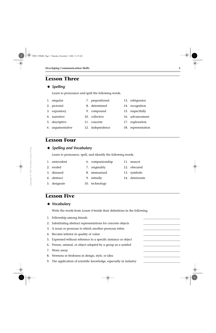## **Lesson Three**

### ◆ Spelling

Learn to pronounce and spell the following words.

- 1. singular 7. prepositional 13. refrigerator
	-
	-
- 
- 
- 
- 2. pictorial 8. determined 14. recognition
- 3. expository 9. compound 15. respectfully
- 4. narrative 10. collective 16. advancement
- 5. descriptive 11. concrete 17. exploration
- 6. argumentative 12. independence 18. representation

## **Lesson Four**

#### ◆ *Spelling and Vocabulary*

Learn to pronounce, spell, and identify the following words.

- 1. antecedent 6. companionship 11. mascot
- 2. eroded 7. originality 12. obscured
	-
	-
	-
- 5. designate 10. technology

## **Lesson Five**

### - *Vocabulary*

Write the words from *Lesson 4* beside their definitions in the following.

- 1. Fellowship among friends
- 2. Substituting abstract representations for concrete objects
- 3. A noun or pronoun to which another pronoun refers
- 4. Become inferior in quality or value
- 5. Expressed without reference to a specific instance or object
- 6. Person, animal, or object adopted by a group as a symbol
- 7. Worn away
- 8. Newness or freshness in design, style, or idea
- 9. The application of scientific knowledge, especially in industry
- 
- 3. diseased 8. immunized 13. symbolic
- 4. abstract 9. initially 14. deteriorate
- 
- 
- -
	-
	- -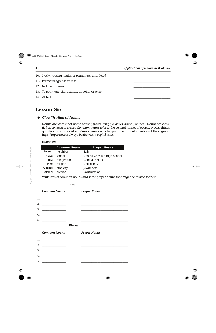10. Sickly; lacking health or soundness, disordered 11. Protected against disease 12. Not clearly seen 13. To point out, characterize, appoint, or select 14. At first \_\_\_\_\_\_\_\_\_\_\_\_\_\_\_\_\_\_\_\_\_\_\_\_\_

## **Lesson Six**

## - *Classification of Nouns*

**Nouns** are words that name *persons, places, things, qualities, actions*, or *ideas*. Nouns are classified as *common* or *proper*. *Common nouns* refer to the general names of people, places, things, qualities, actions, or ideas. *Proper nouns* refer to specific names of members of these groupings. Proper nouns always begin with a *capital letter*.

#### **Examples:**

|                 | <b>Common Nouns</b> | <b>Proper Nouns</b>           |
|-----------------|---------------------|-------------------------------|
| Person:         | neighbor            | Sally                         |
| Place:          | school              | Central Christian High School |
| Thing:          | refrigerator        | <b>General Electric</b>       |
| Idea:           | religion            | Christianity                  |
| <b>Quality:</b> | ethnicity           | <b>Jewishness</b>             |
| <b>Action:</b>  | division            | Balkanization                 |

Write lists of common nouns and some proper nouns that might be related to them.



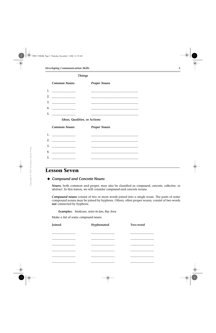| aına | אי |
|------|----|
|      |    |
|      |    |

| <b>Common Nouns</b>                              | <b>Proper Nouns</b>                                                                                                                                                                                                           |
|--------------------------------------------------|-------------------------------------------------------------------------------------------------------------------------------------------------------------------------------------------------------------------------------|
| 1.                                               |                                                                                                                                                                                                                               |
| 2.                                               |                                                                                                                                                                                                                               |
| 3.<br><u> 1989 - Johann Barbara, martxa a</u>    | the control of the control of the control of the control of the control of the control of the control of the control of the control of the control of the control of the control of the control of the control of the control |
| 4.<br><u> 1989 - Johann Barbara, martin basa</u> | <u> 1989 - Andrea Santa Andrea Andrea Andrea Andrea Andrea Andrea Andrea Andrea Andrea Andrea Andrea Andrea Andr</u>                                                                                                          |
| 5.                                               | the control of the control of the control of the control of the control of the control of the control of the control of the control of the control of the control of the control of the control of the control of the control |
| Ideas, Qualities, or Actions                     |                                                                                                                                                                                                                               |
| <b>Common Nouns</b>                              | <b>Proper Nouns</b>                                                                                                                                                                                                           |
| 1.                                               |                                                                                                                                                                                                                               |
| 2.                                               |                                                                                                                                                                                                                               |
|                                                  |                                                                                                                                                                                                                               |
| 3.                                               |                                                                                                                                                                                                                               |

## **Lesson Seven**

5. \_\_\_\_\_\_\_\_\_\_\_\_\_\_\_\_ \_\_\_\_\_\_\_\_\_\_\_\_\_\_\_\_\_\_\_\_\_\_\_\_\_\_\_\_\_\_\_\_

#### - *Compound and Concrete Nouns*

*Nouns*, both common and proper, may also be classified as *compound, concrete, collective*, or *abstract*. In this lesson, we will consider *compound* and *concrete* nouns.

*Compound nouns* consist of two or more words joined into a single noun. The parts of some compound nouns may be joined by hyphens. Others, often proper nouns, consist of two words *not* connected by hyphens.

**Examples:** *bookcase, sister-in-law, Bay Area*

Make a list of some *compound nouns*.

| Joined | Hyphenated | Two-word |
|--------|------------|----------|
|        |            |          |
|        |            |          |
|        |            |          |
|        |            |          |
|        |            |          |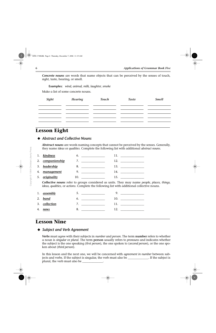*Concrete nouns* are words that name objects that can be perceived by the senses of touch, sight, taste, hearing, or smell.

**Examples:** *wind, animal, milk, laughter, smoke*

Make a list of some concrete nouns.

| Sight | <b>Hearing</b> | <b>Touch</b> | <b>Taste</b> | <b>Smell</b> |
|-------|----------------|--------------|--------------|--------------|
|       |                |              |              |              |
|       |                |              |              |              |
|       |                |              |              |              |
|       |                |              |              |              |

## **Lesson Eight**

#### ◆ Abstract and Collective Nouns

*Abstract nouns* are words naming concepts that cannot be perceived by the senses. Generally, they name *ideas* or *qualities*. Complete the following list with additional *abstract nouns*.

|    | kindness           | O.                                                                                                                                                                                                                                   |     |
|----|--------------------|--------------------------------------------------------------------------------------------------------------------------------------------------------------------------------------------------------------------------------------|-----|
| 2. | companionship      | <u> 1989 - Alexandr Store Books and the Store Books and the Store Books and the Store Books and the Store Books and the Store Books and the Store Books and the Store Books and the Store Books and the Store Books and the Stor</u> | 12. |
| 3. | leadership         | 8.                                                                                                                                                                                                                                   | 13. |
| 4. | management         | 9.                                                                                                                                                                                                                                   | 14. |
| 5. | <i>originality</i> | 10.                                                                                                                                                                                                                                  | 15. |

*Collective nouns* refer to groups considered as units. They may name *people, places, things, ideas, qualities,* or *actions*. Complete the following list with additional collective nouns.

| 1. | <u>assembly</u> | J. | 9    |
|----|-----------------|----|------|
| 2. | <u>band</u>     | o. | 10.  |
| 3. | collection      |    | -01. |
| 4. | news            | O. |      |

## **Lesson Nine**

#### ◆ Subject and Verb Agreement

*Verbs* must agree with their subjects in *number* and *person*. The term **number** refers to whether a noun is *singular* or *plural*. The term **person** usually refers to *pronouns* and indicates whether the subject is the one speaking (*first person*), the one spoken to (*second person*), or the one spoken about (*third person*).

In this lesson and the next one, we will be concerned with *agreement in number* between subjects and verbs. If the subject is singular, the verb must also be \_\_\_\_\_\_\_\_\_\_\_\_\_\_. If the subject is plural, the verb must also be \_\_\_\_\_\_\_\_\_\_\_\_\_\_.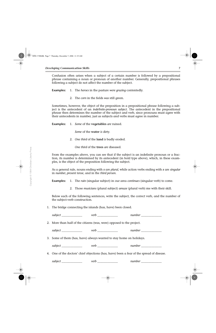Confusion often arises when a subject of a certain number is followed by a prepositional phrase containing a noun or pronoun of another number. Generally, prepositional phrases following a subject do not affect the number of the subject.

**Examples:** 1. The *horses* in the pasture *were grazing* contentedly.

2. The *corn* in the fields *was* still green.

Sometimes, however, the object of the preposition in a prepositional phrase following a subject is the antecedent of an *indefinite-pronoun subject*. The antecedent in the prepositional phrase then determines the number of the subject and verb, since pronouns must agree with their antecedents in number, just as subjects and verbs must agree in number.

**Examples:** 1. *Some* of the **vegetables** *are* ruined.

*Some* of the **water** *is* dirty.

2. *One third* of the **land** *is* badly eroded.

*One third* of the **trees** *are* diseased.

From the examples above, you can see that if the subject is an indefinite pronoun or a fraction, its number is determined by its antecedent (in bold type above), which, in these examples, is the object of the preposition following the subject.

As a general rule, nouns ending with *s* are *plural*, while action verbs ending with *s* are *singular* in *number, present tense*, and in the *third person*.

**Examples:** 1. The *rain* (singular subject) in our area *continues* (singular verb) to come.

2. Those *musicians* (plural subject) *amaze* (plural verb) me with their skill.

Below each of the following sentences, write the subject, the correct verb, and the number of the subject-verb construction.

1. The bridge connecting the islands (has, have) been closed.

*subject* \_\_\_\_\_\_\_\_\_\_\_\_\_\_ *verb* \_\_\_\_\_\_\_\_\_\_\_\_\_\_ *number* \_\_\_\_\_\_\_\_\_\_\_\_\_\_

2. More than half of the citizens (was, were) opposed to the project.

*subject* \_\_\_\_\_\_\_\_\_\_\_\_\_\_ *verb* \_\_\_\_\_\_\_\_\_\_\_\_\_\_ *number* \_\_\_\_\_\_\_\_\_\_\_\_\_\_

3. Some of them (has, have) always wanted to stay home on holidays.

*subject* \_\_\_\_\_\_\_\_\_\_\_\_\_\_ *verb* \_\_\_\_\_\_\_\_\_\_\_\_\_\_ *number* \_\_\_\_\_\_\_\_\_\_\_\_\_\_

4. One of the doctors' chief objections (has, have) been a fear of the spread of disease.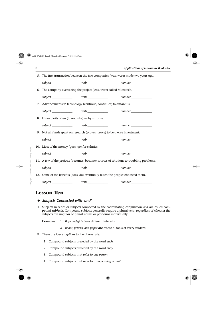| 5. The first transaction between the two companies (was, were) made two years ago. |                                                                                         |  |  |
|------------------------------------------------------------------------------------|-----------------------------------------------------------------------------------------|--|--|
|                                                                                    |                                                                                         |  |  |
|                                                                                    | 6. The company overseeing the project (was, were) called Microtech.                     |  |  |
|                                                                                    |                                                                                         |  |  |
| 7. Advancements in technology (continue, continues) to amaze us.                   |                                                                                         |  |  |
|                                                                                    |                                                                                         |  |  |
| 8. His exploits often (takes, take) us by surprise.                                |                                                                                         |  |  |
|                                                                                    |                                                                                         |  |  |
| 9. Not all funds spent on research (proves, prove) to be a wise investment.        |                                                                                         |  |  |
|                                                                                    | subject ____________________ verb ___________________ number ___________________        |  |  |
| 10. Most of the money (goes, go) for salaries.                                     |                                                                                         |  |  |
|                                                                                    |                                                                                         |  |  |
|                                                                                    | 11. A few of the projects (becomes, become) sources of solutions to troubling problems. |  |  |
|                                                                                    | subject ___________________ verb __________________ number _______________              |  |  |
|                                                                                    | 12. Some of the benefits (does, do) eventually reach the people who need them.          |  |  |
|                                                                                    |                                                                                         |  |  |
|                                                                                    |                                                                                         |  |  |

## **Lesson Ten**

## - *Subjects Connected with 'and'*

I. Subjects in series or subjects connected by the coordinating conjunction *and* are called *compound subjects*. Compound subjects generally require a plural verb, regardless of whether the subjects are singular or plural nouns or pronouns individually.

**Examples:** 1. *Boys and girls have* different interests.

- 2. *Books, pencils, and paper are* essential tools of every student.
- II. There are *four exceptions* to the above rule:
	- 1. Compound subjects preceded by the word *each*.
	- 2. Compound subjects preceded by the word *every*.
	- 3. Compound subjects that refer to *one person*.
	- 4. Compound subjects that refer to a *single thing* or *unit*.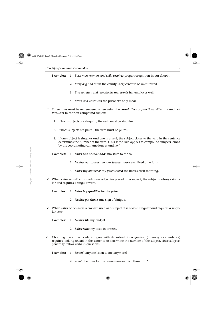**Examples:** 1. *Each man, woman, and child receives* proper recognition in our church.

- 2. *Every dog and cat* in the county *is expected* to be immunized.
- 3. The *secretary and receptionist represents* her employer well.
- 4. *Bread and water was* the prisoner's only meal.
- III. Three rules must be remembered when using the *correlative conjunctions either*…*or* and *neither*…*nor* to connect compound subjects.
	- 1. If both subjects are singular, the verb must be singular.
	- 2. If both subjects are plural, the verb must be plural.
	- 3. If one subject is singular and one is plural, the subject closer to the verb in the sentence determines the number of the verb. (This same rule applies to compound subjects joined by the coordinating conjunctions *or* and *nor*.)

**Examples:** 1. *Either rain or snow adds* moisture to the soil.

- 2. *Neither* our *coaches nor* our *teachers have* ever lived on a farm.
- 3. *Either* my *brother or* my *parents feed* the horses each morning.
- IV. When *either* or *neither* is used as an **adjective** preceding a subject, the subject is always singular and requires a singular verb.

**Examples:** 1. *Either boy qualifies* for the prize.

- 2. *Neither girl shows* any sign of fatigue.
- V. When *either* or *neither* is a *pronoun* used as a subject, it is always singular and requires a singular verb.

**Examples:** 1. *Neither fits* my budget.

- 2. *Either suits* my taste in dresses.
- VI. Choosing the correct verb to agree with its subject in a *question* (interrogatory sentence) requires looking ahead in the sentence to determine the number of the subject, since subjects generally follow verbs in questions.

**Examples:** 1. *Doesn't* anyone listen to me anymore?

2. *Aren't* the rules for the game more explicit than that?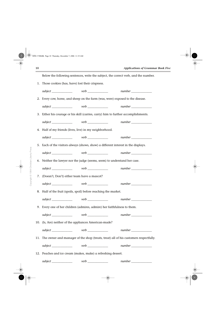|                                                    |                                                                          |  | Below the following sentences, write the subject, the correct verb, and the number.      |  |  |
|----------------------------------------------------|--------------------------------------------------------------------------|--|------------------------------------------------------------------------------------------|--|--|
| 1. Those cookies (has, have) lost their crispness. |                                                                          |  |                                                                                          |  |  |
|                                                    |                                                                          |  |                                                                                          |  |  |
|                                                    |                                                                          |  | 2. Every cow, horse, and sheep on the farm (was, were) exposed to the disease.           |  |  |
|                                                    |                                                                          |  |                                                                                          |  |  |
|                                                    |                                                                          |  | 3. Either his courage or his skill (carries, carry) him to further accomplishments.      |  |  |
|                                                    |                                                                          |  | subject ___________________ verb __________________ number _____________________         |  |  |
|                                                    | 4. Half of my friends (lives, live) in my neighborhood.                  |  |                                                                                          |  |  |
|                                                    |                                                                          |  | subject ___________________ verb __________________ number _____________________         |  |  |
|                                                    |                                                                          |  | 5. Each of the visitors always (shows, show) a different interest in the displays.       |  |  |
|                                                    |                                                                          |  | subject ___________________ verb __________________ number _____________________         |  |  |
|                                                    |                                                                          |  | 6. Neither the lawyer nor the judge (seems, seem) to understand her case.                |  |  |
|                                                    |                                                                          |  |                                                                                          |  |  |
|                                                    | 7. (Doesn't, Don't) either team have a mascot?                           |  |                                                                                          |  |  |
|                                                    | subject _________________ verb _____________                             |  |                                                                                          |  |  |
|                                                    | 8. Half of the fruit (spoils, spoil) before reaching the market.         |  |                                                                                          |  |  |
|                                                    |                                                                          |  |                                                                                          |  |  |
|                                                    | 9. Every one of her children (admires, admire) her faithfulness to them. |  |                                                                                          |  |  |
|                                                    |                                                                          |  |                                                                                          |  |  |
|                                                    | 10. (Is, Are) neither of the appliances American-made?                   |  |                                                                                          |  |  |
|                                                    |                                                                          |  |                                                                                          |  |  |
|                                                    |                                                                          |  | 11. The owner and manager of the shop (treats, treat) all of his customers respectfully. |  |  |
|                                                    |                                                                          |  |                                                                                          |  |  |
|                                                    | 12. Peaches and ice cream (makes, make) a refreshing dessert.            |  |                                                                                          |  |  |
|                                                    |                                                                          |  |                                                                                          |  |  |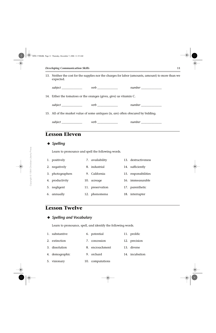13. Neither the cost for the supplies nor the charges for labor (amounts, amount) to more than we expected.

| $^{\prime\prime}$<br>ັບພະ | <b><i>Charles State</i></b> | $-2 - 1 - 2 - 1$<br>$h$ <sub>a</sub><br>- 11 |
|---------------------------|-----------------------------|----------------------------------------------|
|                           |                             |                                              |

14. Either the tomatoes or the oranges (gives, give) us vitamin C.

| subject | verh | number |
|---------|------|--------|
|         |      |        |

15. All of the market value of some antiques (is, are) often obscured by bidding.

| hor<br>--- ----<br>. $P^{\prime}$<br>31 Z<br>- --<br>$\sim$ $\sim$ | . | $\sim$ |  |
|--------------------------------------------------------------------|---|--------|--|
|--------------------------------------------------------------------|---|--------|--|

## **Lesson Eleven**

### ◆ Spelling

Learn to pronounce and spell the following words.

| 1. positively    | 7. availability  | 13. destructiveness  |
|------------------|------------------|----------------------|
| 2. negatively    | 8. industrial    | 14. sufficiently     |
| 3. photographers | 9. California    | 15. responsibilities |
| 4. productivity  | 10. acreage      | 16. immeasurable     |
| 5. negligent     | 11. preservation | 17. parenthetic      |
| 6. annually      | 12. phenomena    | 18. interrupter      |

## **Lesson Twelve**

### ◆ *Spelling and Vocabulary*

Learn to pronounce, spell, and identify the following words.

- 1. substantive 6. potential 11. prolific 2. extinction 7. concession 12. precision 3. dissolution 8. encroachment 13. diverse 4. demographic 9. orchard 14. incubation
- 5. visionary 10. computations